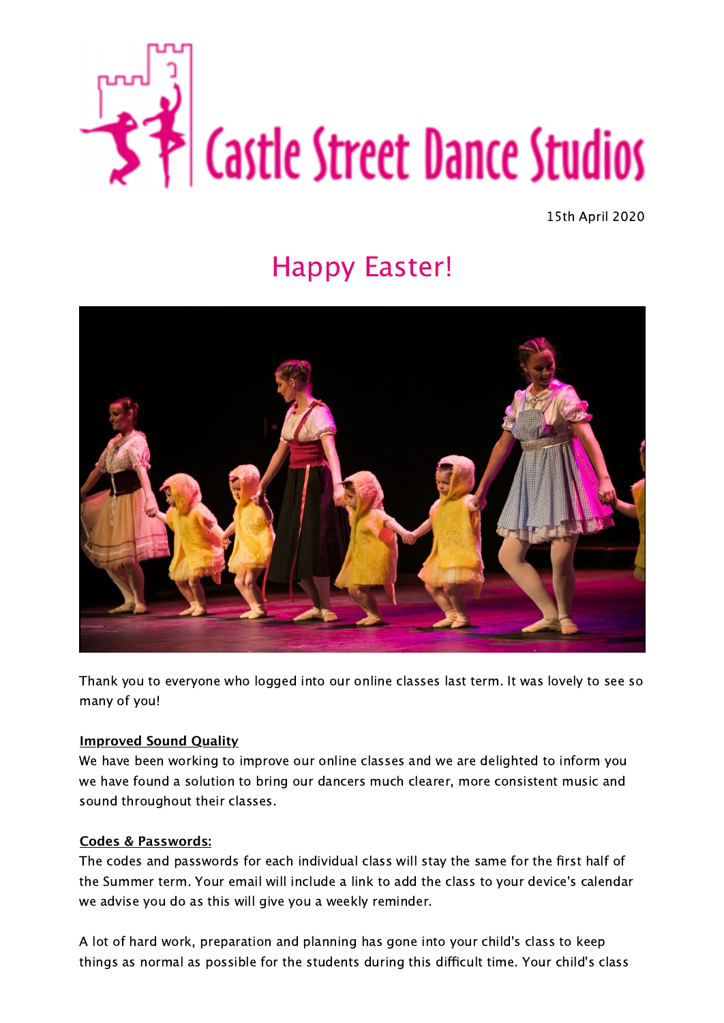

15th April 2020

# Happy Easter!



Thank you to everyone who logged into our online classes last term. It was lovely to see so many of you!

#### **Improved Sound Quality**

We have been working to improve our online classes and we are delighted to inform you we have found a solution to bring our dancers much clearer, more consistent music and sound throughout their classes.

#### **Codes & Passwords:**

The codes and passwords for each individual class will stay the same for the first half of the Summer term. Your email will include a link to add the class to your device's calendar we advise you do as this will give you a weekly reminder.

A lot of hard work, preparation and planning has gone into your child's class to keep things as normal as possible for the students during this difficult time. Your child's class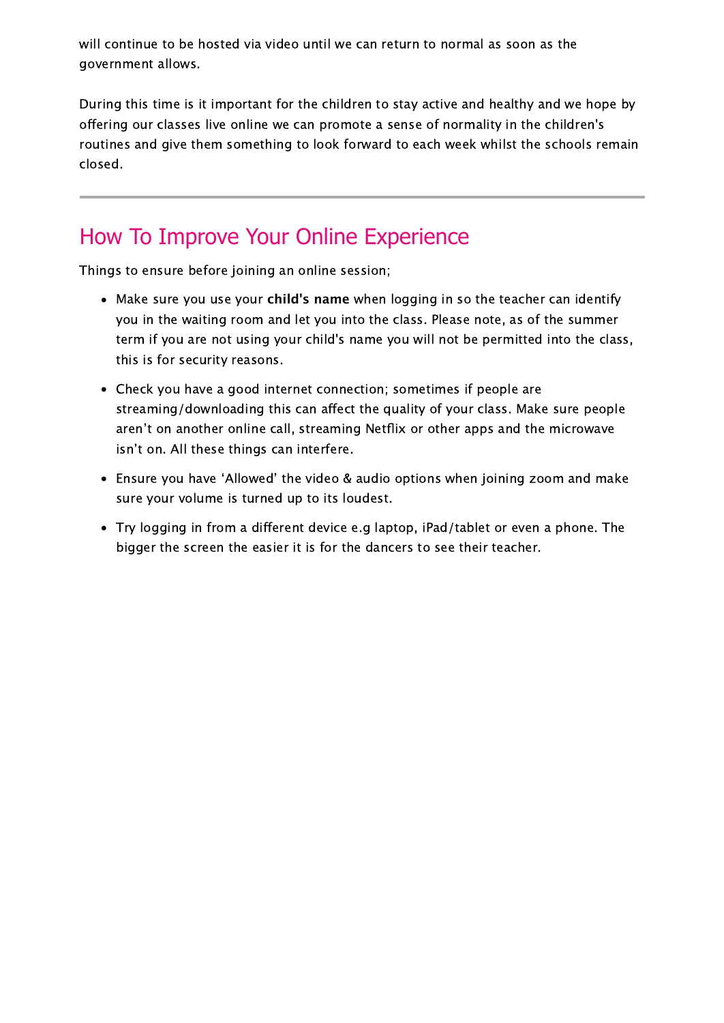will continue to be hosted via video until we can return to normal as soon as the government allows.

During this time is it important for the children to stay active and healthy and we hope by offering our classes live online we can promote a sense of normality in the children's routines and give them something to look forward to each week whilst the schools remain closed.

### How To Improve Your Online Experience

Things to ensure before joining an online session;

- Make sure you use your **child's name** when logging in so the teacher can identify you in the waiting room and let you into the class. Please note, as of the summer term if you are not using your child's name you will not be permitted into the class, this is for security reasons.
- Check you have a good internet connection; sometimes if people are streaming/downloading this can affect the quality of your class. Make sure people aren't on another online call, streaming Netflix or other apps and the microwave isn't on. All these things can interfere.
- Ensure you have ʻAllowed' the video & audio options when joining zoom and make sure your volume is turned up to its loudest.
- Try logging in from a different device e.g laptop, iPad/tablet or even a phone. The bigger the screen the easier it is for the dancers to see their teacher.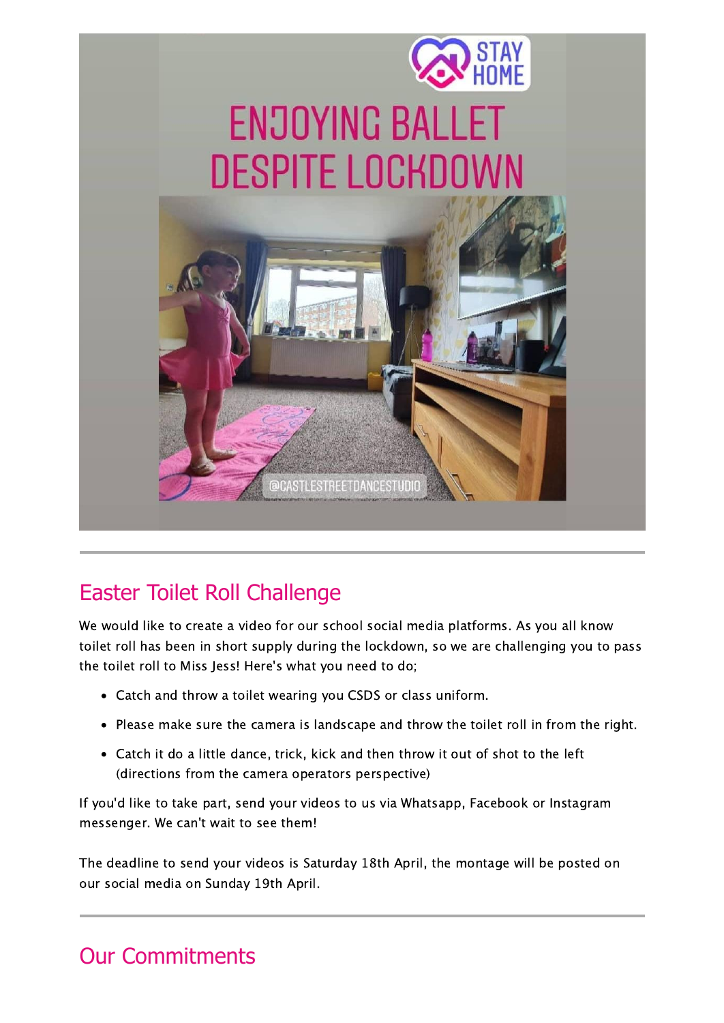

# Easter Toilet Roll Challenge

We would like to create a video for our school social media platforms. As you all know toilet roll has been in short supply during the lockdown, so we are challenging you to pass the toilet roll to Miss Jess! Here's what you need to do;

- Catch and throw a toilet wearing you CSDS or class uniform.
- Please make sure the camera is landscape and throw the toilet roll in from the right.
- Catch it do a little dance, trick, kick and then throw it out of shot to the left (directions from the camera operators perspective)

If you'd like to take part, send your videos to us via Whatsapp, Facebook or Instagram messenger. We can't wait to see them!

The deadline to send your videos is Saturday 18th April, the montage will be posted on our social media on Sunday 19th April.

## Our Commitments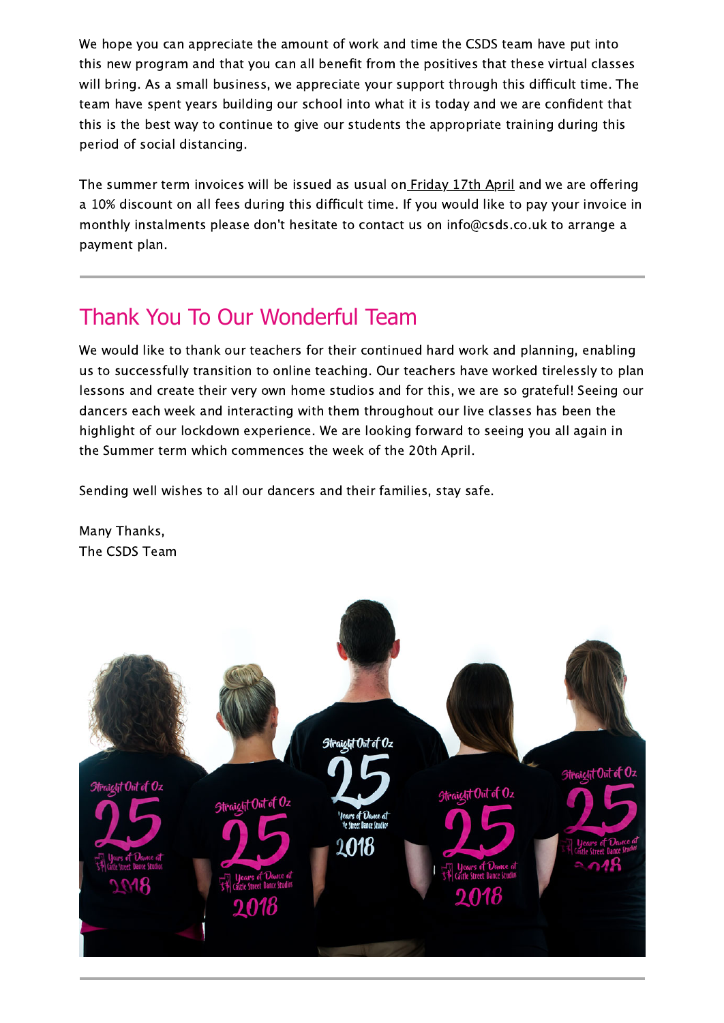We hope you can appreciate the amount of work and time the CSDS team have put into this new program and that you can all benefit from the positives that these virtual classes will bring. As a small business, we appreciate your support through this difficult time. The team have spent years building our school into what it is today and we are confident that this is the best way to continue to give our students the appropriate training during this period of social distancing.

The summer term invoices will be issued as usual on Friday 17th April and we are offering a 10% discount on all fees during this difficult time. If you would like to pay your invoice in monthly instalments please don't hesitate to contact us on info@csds.co.uk to arrange a payment plan.

### Thank You To Our Wonderful Team

We would like to thank our teachers for their continued hard work and planning, enabling us to successfully transition to online teaching. Our teachers have worked tirelessly to plan lessons and create their very own home studios and for this, we are so grateful! Seeing our dancers each week and interacting with them throughout our live classes has been the highlight of our lockdown experience. We are looking forward to seeing you all again in the Summer term which commences the week of the 20th April.

Sending well wishes to all our dancers and their families, stay safe.

Many Thanks, The CSDS Team